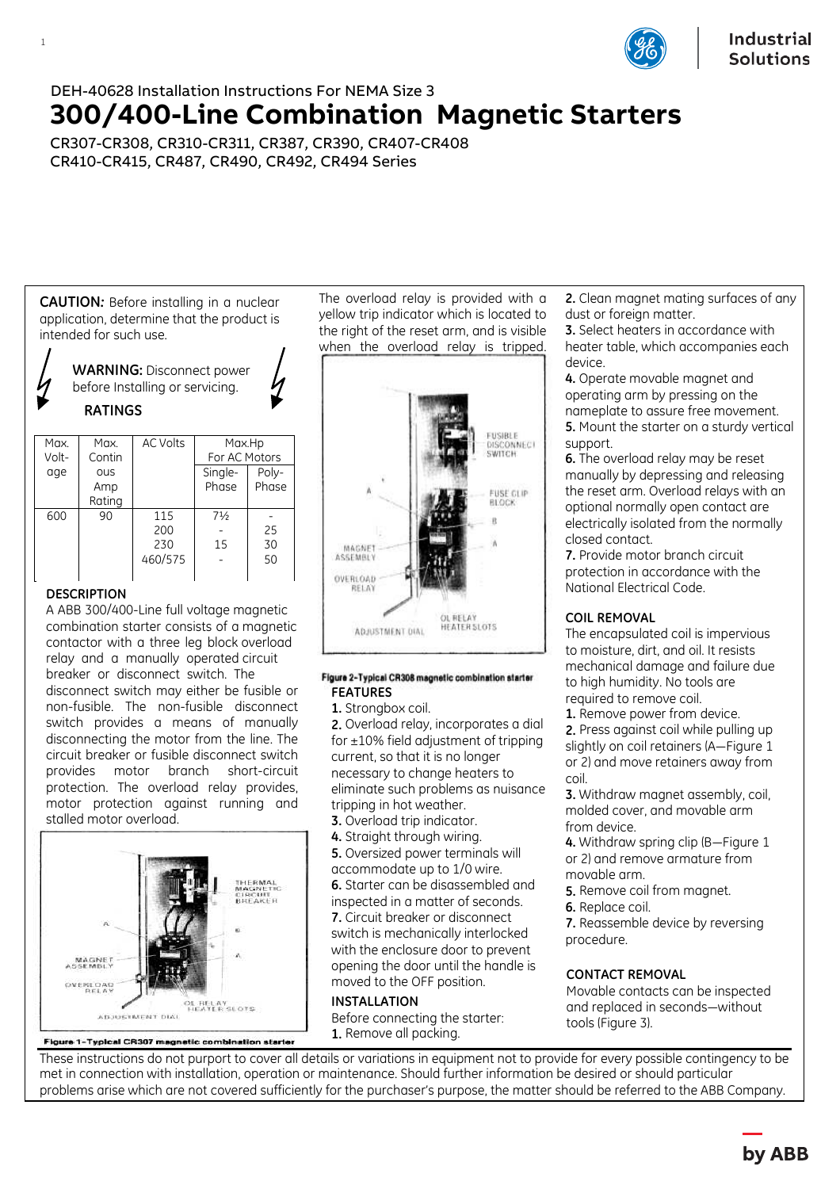

# DEH-40628 Installation Instructions For NEMA Size 3 **300/400-Line Combination Magnetic Starters**

CR307-CR308, CR310-CR311, CR387, CR390, CR407-CR408 CR410-CR415, CR487, CR490, CR492, CR494 Series

**CAUTION***:* Before installing in a nuclear application, determine that the product is intended for such use.

**WARNING:** Disconnect power before Installing or servicing. **RATINGS**

| Max.  | Max.       | <b>AC Volts</b> | Max.Hp         |       |
|-------|------------|-----------------|----------------|-------|
| Volt- | Contin     |                 | For AC Motors  |       |
| age   | <b>OUS</b> |                 | Single-        | Poly- |
|       | Amp        |                 | Phase          | Phase |
|       | Rating     |                 |                |       |
| 600   | 90         | 115             | $7\frac{1}{2}$ |       |
|       |            | 200             |                | 25    |
|       |            | 230             | 15             | 30    |
|       |            | 460/575         |                | 50    |
|       |            |                 |                |       |

## **DESCRIPTION**

1

A ABB 300/400-Line full voltage magnetic combination starter consists of a magnetic contactor with a three leg block overload relay and a manually operated circuit breaker or disconnect switch. The disconnect switch may either be fusible or non-fusible. The non-fusible disconnect switch provides a means of manually disconnecting the motor from the line. The circuit breaker or fusible disconnect switch provides motor branch short-circuit protection. The overload relay provides, motor protection against running and stalled motor overload.



Figure 1-Typical CR307 magnetic combination starter

The overload relay is provided with a yellow trip indicator which is located to the right of the reset arm, and is visible when the overload relay is tripped.



#### Figure 2-Typical CR308 magnetic combination starter **FEATURES**

**1.** Strongbox coil.

**2.** Overload relay, incorporates a dial for  $\pm 10\%$  field adjustment of tripping current, so that it is no longer necessary to change heaters to eliminate such problems as nuisance tripping in hot weather.

- **3.** Overload trip indicator.
- **4.** Straight through wiring.

**5.** Oversized power terminals will accommodate up to 1/0 wire. **6.** Starter can be disassembled and inspected in a matter of seconds. **7.** Circuit breaker or disconnect switch is mechanically interlocked with the enclosure door to prevent opening the door until the handle is moved to the OFF position.

### **INSTALLATION**

Before connecting the starter: **1.** Remove all packing.

**2.** Clean magnet mating surfaces of any dust or foreign matter.

**3.** Select heaters in accordance with heater table, which accompanies each device.

**4.** Operate movable magnet and operating arm by pressing on the nameplate to assure free movement. **5.** Mount the starter on a sturdy vertical support.

**6.** The overload relay may be reset manually by depressing and releasing the reset arm. Overload relays with an optional normally open contact are electrically isolated from the normally closed contact.

**7.** Provide motor branch circuit protection in accordance with the National Electrical Code.

### **COIL REMOVAL**

The encapsulated coil is impervious to moisture, dirt, and oil. It resists mechanical damage and failure due to high humidity. No tools are required to remove coil.

**1.** Remove power from device.

**2.** Press against coil while pulling up slightly on coil retainers (A—Figure 1 or 2) and move retainers away from coil.

**3.** Withdraw magnet assembly, coil, molded cover, and movable arm from device.

**4.** Withdraw spring clip (B—Figure 1 or 2) and remove armature from movable arm.

- **5.** Remove coil from magnet.
- **6.** Replace coil.

**7.** Reassemble device by reversing procedure.

### **CONTACT REMOVAL**

Movable contacts can be inspected and replaced in seconds—without tools (Figure 3).

These instructions do not purport to cover all details or variations in equipment not to provide for every possible contingency to be met in connection with installation, operation or maintenance. Should further information be desired or should particular problems arise which are not covered sufficiently for the purchaser's purpose, the matter should be referred to the ABB Company.